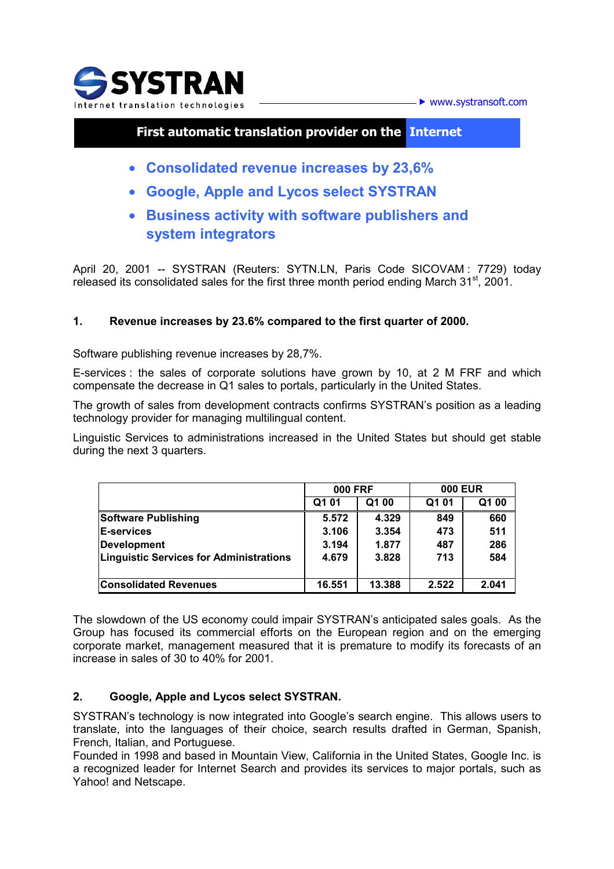

 $\blacktriangleright$  www.systransoft.com

# **First automatic translation provider on the Internet**

- **Consolidated revenue increases by 23,6%**
- **Google, Apple and Lycos select SYSTRAN**
- **Business activity with software publishers and system integrators**

April 20, 2001 -- SYSTRAN (Reuters: SYTN.LN, Paris Code SICOVAM : 7729) today released its consolidated sales for the first three month period ending March 31<sup>st</sup>, 2001.

## **1. Revenue increases by 23.6% compared to the first quarter of 2000.**

Software publishing revenue increases by 28,7%.

E-services : the sales of corporate solutions have grown by 10, at 2 M FRF and which compensate the decrease in Q1 sales to portals, particularly in the United States.

The growth of sales from development contracts confirms SYSTRAN's position as a leading technology provider for managing multilingual content.

Linguistic Services to administrations increased in the United States but should get stable during the next 3 quarters.

|                                                | <b>000 FRF</b> |        | <b>000 EUR</b> |       |
|------------------------------------------------|----------------|--------|----------------|-------|
|                                                | Q1 01          | Q1 00  | Q1 01          | Q1 00 |
| Software Publishing                            | 5.572          | 4.329  | 849            | 660   |
| <b>E-services</b>                              | 3.106          | 3.354  | 473            | 511   |
| <b>Development</b>                             | 3.194          | 1.877  | 487            | 286   |
| <b>Linguistic Services for Administrations</b> | 4.679          | 3.828  | 713            | 584   |
|                                                |                |        |                |       |
| <b>Consolidated Revenues</b>                   | 16.551         | 13.388 | 2.522          | 2.041 |

The slowdown of the US economy could impair SYSTRAN's anticipated sales goals. As the Group has focused its commercial efforts on the European region and on the emerging corporate market, management measured that it is premature to modify its forecasts of an increase in sales of 30 to 40% for 2001.

### **2. Google, Apple and Lycos select SYSTRAN.**

SYSTRAN's technology is now integrated into Google's search engine. This allows users to translate, into the languages of their choice, search results drafted in German, Spanish, French, Italian, and Portuguese.

Founded in 1998 and based in Mountain View, California in the United States, Google Inc. is a recognized leader for Internet Search and provides its services to major portals, such as Yahoo! and Netscape.